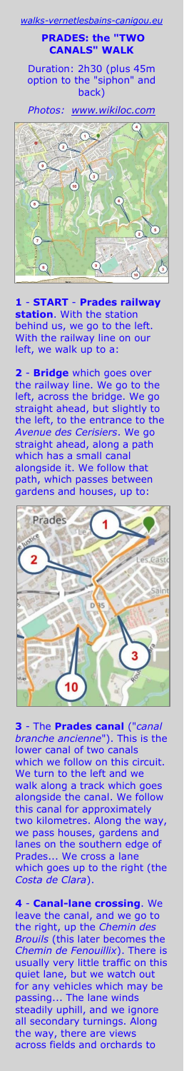walks-vernetlesbains-canigou.

**PRADES: the "TWO CANALS" WALK**

Duration: 2h30 (plus 45m option to the "siphon" and back)

*Photos: [www.wikiloc.com](https://www.wikiloc.com/hiking-trails/prades-two-canals-walk-102970026)*



**1** - **START** - **Prades railway station**. With the station behind us, we go to the left. With the railway line on our left, we walk up to a:

**2** - **Bridge** which goes over the railway line. We go to the left, across the bridge. We go straight ahead, but slightly to the left, to the entrance to the *Avenue des Cerisiers*. We go straight ahead, along a path which has a small canal alongside it. We follow that path, which passes between gardens and houses, up to:



**3** - The **Prades canal** ("*canal branche ancienne*"). This is the lower canal of two canals which we follow on this circuit. We turn to the left and we walk along a track which goes alongside the canal. We follow this canal for approximately two kilometres. Along the way, we pass houses, gardens and lanes on the southern edge of Prades... We cross a lane which goes up to the right (the *Costa de Clara*).

**4** - **Canal-lane crossing**. We leave the canal, and we go to the right, up the *Chemin des Brouils* (this later becomes the *Chemin de Fenouillix*). There is usually very little traffic on this quiet lane, but we watch out for any vehicles which may be passing... The lane winds steadily uphill, and we ignore all secondary turnings. Along the way, there are views across fields and orchards to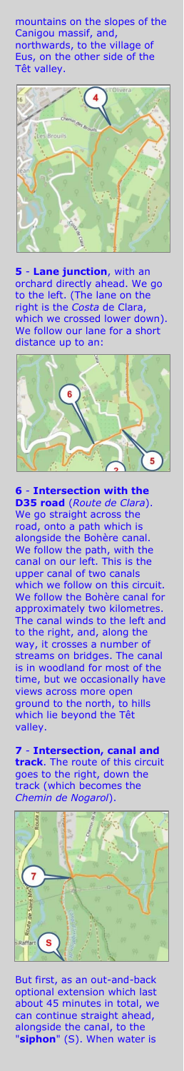mountains on the slopes of the Canigou massif, and, northwards, to the village of Eus, on the other side of the Têt valley.



**5** - **Lane junction**, with an orchard directly ahead. We go to the left. (The lane on the right is the *Costa* de Clara, which we crossed lower down). We follow our lane for a short distance up to an:



**6** - **Intersection with the D35 road** (*Route de Clara*). We go straight across the road, onto a path which is alongside the Bohère canal. We follow the path, with the canal on our left. This is the upper canal of two canals which we follow on this circuit. We follow the Bohère canal for approximately two kilometres. The canal winds to the left and to the right, and, along the way, it crosses a number of streams on bridges. The canal is in woodland for most of the time, but we occasionally have views across more open ground to the north, to hills which lie beyond the Têt valley.

**7** - **Intersection, canal and track**. The route of this circuit goes to the right, down the track (which becomes the *Chemin de Nogarol*).



But first, as an out-and-back optional extension which last about 45 minutes in total, we can continue straight ahead, alongside the canal, to the "**siphon**" (S). When water is